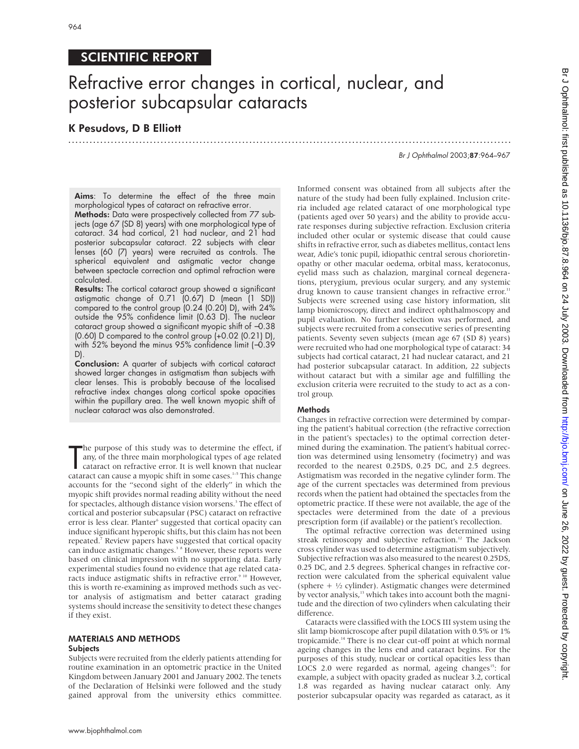# SCIENTIFIC REPORT

# Refractive error changes in cortical, nuclear, and posterior subcapsular cataracts

.............................................................................................................................

### K Pesudovs, D B Elliott

Br J Ophthalmol 2003;87:964–967

Aims: To determine the effect of the three main morphological types of cataract on refractive error.

Methods: Data were prospectively collected from 77 subjects (age 67 (SD 8) years) with one morphological type of cataract. 34 had cortical, 21 had nuclear, and 21 had posterior subcapsular cataract. 22 subjects with clear lenses (60 (7) years) were recruited as controls. The spherical equivalent and astigmatic vector change between spectacle correction and optimal refraction were calculated.

Results: The cortical cataract group showed a significant astigmatic change of 0.71 (0.67) D (mean (1 SD)) compared to the control group (0.24 (0.20) D), with 24% outside the 95% confidence limit (0.63 D). The nuclear cataract group showed a significant myopic shift of −0.38 (0.60) D compared to the control group (+0.02 (0.21) D), with 52% beyond the minus 95% confidence limit (-0.39 D).

Conclusion: A quarter of subjects with cortical cataract showed larger changes in astigmatism than subjects with clear lenses. This is probably because of the localised refractive index changes along cortical spoke opacities within the pupillary area. The well known myopic shift of nuclear cataract was also demonstrated.

The purpose of this study was to determine the effect, if any, of the three main morphological types of age related cataract on refractive error. It is well known that nuclear cataract can cause a myopic shift in some case he purpose of this study was to determine the effect, if any, of the three main morphological types of age related cataract on refractive error. It is well known that nuclear accounts for the "second sight of the elderly" in which the myopic shift provides normal reading ability without the need for spectacles, although distance vision worsens.<sup>3</sup> The effect of cortical and posterior subcapsular (PSC) cataract on refractive error is less clear. Planter<sup>6</sup> suggested that cortical opacity can induce significant hyperopic shifts, but this claim has not been repeated.7 Review papers have suggested that cortical opacity can induce astigmatic changes.<sup>3</sup> <sup>8</sup> However, these reports were based on clinical impression with no supporting data. Early experimental studies found no evidence that age related cataracts induce astigmatic shifts in refractive error.<sup>9 10</sup> However, this is worth re-examining as improved methods such as vector analysis of astigmatism and better cataract grading systems should increase the sensitivity to detect these changes if they exist.

#### MATERIALS AND METHODS **Subjects**

Subjects were recruited from the elderly patients attending for routine examination in an optometric practice in the United Kingdom between January 2001 and January 2002. The tenets of the Declaration of Helsinki were followed and the study gained approval from the university ethics committee.

Informed consent was obtained from all subjects after the nature of the study had been fully explained. Inclusion criteria included age related cataract of one morphological type (patients aged over 50 years) and the ability to provide accurate responses during subjective refraction. Exclusion criteria included other ocular or systemic disease that could cause shifts in refractive error, such as diabetes mellitus, contact lens wear, Adie's tonic pupil, idiopathic central serous chorioretinopathy or other macular oedema, orbital mass, keratoconus, eyelid mass such as chalazion, marginal corneal degenerations, pterygium, previous ocular surgery, and any systemic drug known to cause transient changes in refractive error.<sup>11</sup> Subjects were screened using case history information, slit lamp biomicroscopy, direct and indirect ophthalmoscopy and pupil evaluation. No further selection was performed, and subjects were recruited from a consecutive series of presenting patients. Seventy seven subjects (mean age 67 (SD 8) years) were recruited who had one morphological type of cataract: 34 subjects had cortical cataract, 21 had nuclear cataract, and 21 had posterior subcapsular cataract. In addition, 22 subjects without cataract but with a similar age and fulfilling the exclusion criteria were recruited to the study to act as a control group.

#### **Methods**

Changes in refractive correction were determined by comparing the patient's habitual correction (the refractive correction in the patient's spectacles) to the optimal correction determined during the examination. The patient's habitual correction was determined using lensometry (focimetry) and was recorded to the nearest 0.25DS, 0.25 DC, and 2.5 degrees. Astigmatism was recorded in the negative cylinder form. The age of the current spectacles was determined from previous records when the patient had obtained the spectacles from the optometric practice. If these were not available, the age of the spectacles were determined from the date of a previous prescription form (if available) or the patient's recollection.

The optimal refractive correction was determined using streak retinoscopy and subjective refraction.<sup>12</sup> The Jackson cross cylinder was used to determine astigmatism subjectively. Subjective refraction was also measured to the nearest 0.25DS, 0.25 DC, and 2.5 degrees. Spherical changes in refractive correction were calculated from the spherical equivalent value (sphere  $+$  <sup>1</sup>/<sub>2</sub> cylinder). Astigmatic changes were determined by vector analysis,<sup>13</sup> which takes into account both the magnitude and the direction of two cylinders when calculating their difference.

Cataracts were classified with the LOCS III system using the slit lamp biomicroscope after pupil dilatation with 0.5% or 1% tropicamide.14 There is no clear cut-off point at which normal ageing changes in the lens end and cataract begins. For the purposes of this study, nuclear or cortical opacities less than LOCS 2.0 were regarded as normal, ageing changes $15$ : for example, a subject with opacity graded as nuclear 3.2, cortical 1.8 was regarded as having nuclear cataract only. Any posterior subcapsular opacity was regarded as cataract, as it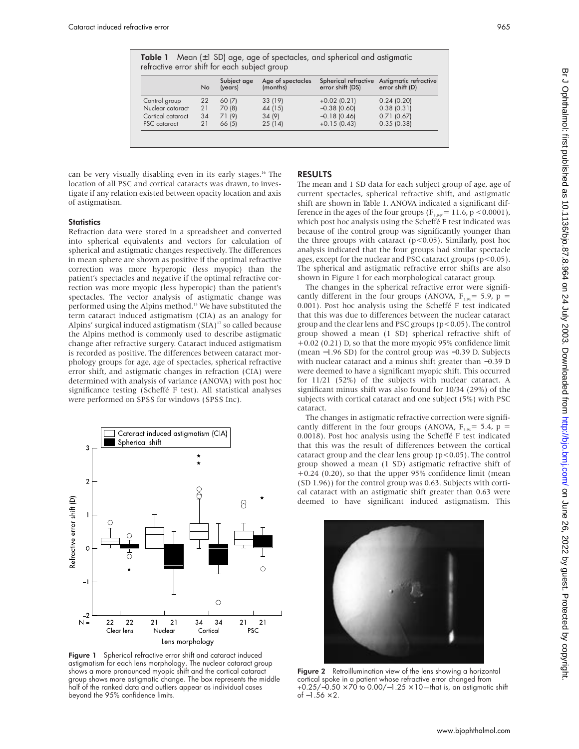|                                                                                                                         | refractive error shift for each subject group |           |                        |                               |                                          |                             |  |
|-------------------------------------------------------------------------------------------------------------------------|-----------------------------------------------|-----------|------------------------|-------------------------------|------------------------------------------|-----------------------------|--|
|                                                                                                                         |                                               | <b>No</b> | Subject age<br>(years) | Age of spectacles<br>(months) | Spherical refractive<br>error shift (DS) | Astigmatic<br>error shift ( |  |
|                                                                                                                         | Control group                                 | 22        | 60(7)                  | 33 (19)                       | $+0.02$ (0.21)                           | 0.24(0.20)                  |  |
|                                                                                                                         | Nuclear cataract                              | 21        | 70 (8)                 | 44 (15)                       | $-0.38$ (0.60)                           | 0.38(0.31)                  |  |
|                                                                                                                         | Cortical cataract                             | 34        | 71 (9)                 | 34 (9)                        | $-0.18$ (0.46)                           | $0.71$ $(0.67)$             |  |
|                                                                                                                         | PSC cataract                                  | 21        | 66(5)                  | 25(14)                        | $+0.15(0.43)$                            | 0.35(0.38)                  |  |
|                                                                                                                         |                                               |           |                        |                               |                                          |                             |  |
|                                                                                                                         |                                               |           |                        |                               |                                          |                             |  |
| can be very visually disabling even in its early stages. <sup>16</sup> The                                              |                                               |           |                        |                               | <b>RESULTS</b>                           |                             |  |
| location of all PSC and cortical cataracts was drawn, to inves-                                                         |                                               |           |                        |                               | The mean and 1 SD data for each          |                             |  |
| tigate if any relation existed between opacity location and axis                                                        |                                               |           |                        |                               | current spectacles, spherical refi       |                             |  |
| of astigmatism.                                                                                                         |                                               |           |                        |                               | shift are shown in Table 1. ANOV         |                             |  |
|                                                                                                                         |                                               |           |                        |                               | ference in the ages of the four gro      |                             |  |
| <b>Statistics</b>                                                                                                       |                                               |           |                        |                               | which post hoc analysis using the        |                             |  |
|                                                                                                                         |                                               |           |                        |                               | because of the control group wa          |                             |  |
| Refraction data were stored in a spreadsheet and converted<br>into spherical equivalents and vectors for calculation of |                                               |           |                        |                               |                                          |                             |  |
|                                                                                                                         |                                               |           |                        |                               | the three groups with cataract (         |                             |  |
| spherical and astigmatic changes respectively. The differences                                                          |                                               |           |                        |                               | analysis indicated that the four         |                             |  |
| in mean sphere are shown as positive if the optimal refractive                                                          |                                               |           |                        |                               | ages, except for the nuclear and P       |                             |  |
| correction was more hyperopic (less myopic) than the                                                                    |                                               |           |                        |                               | The spherical and astigmatic rea         |                             |  |

Table 1 Mean (±1 SD) age, age of spectacles, and spherical and astigmatic

correction was patient's spectacles and negative if the optimal refractive correction was more myopic (less hyperopic) than the patient's spectacles. The vector analysis of astigmatic change was performed using the Alpins method.<sup>13</sup> We have substituted the term cataract induced astigmatism (CIA) as an analogy for Alpins' surgical induced astigmatism  $(SIA)^{17}$  so called because the Alpins method is commonly used to describe astigmatic change after refractive surgery. Cataract induced astigmatism is recorded as positive. The differences between cataract morphology groups for age, age of spectacles, spherical refractive error shift, and astigmatic changes in refraction (CIA) were determined with analysis of variance (ANOVA) with post hoc significance testing (Scheffé F test). All statistical analyses were performed on SPSS for windows (SPSS Inc).



Figure 1 Spherical refractive error shift and cataract induced astigmatism for each lens morphology. The nuclear cataract group shows a more pronounced myopic shift and the cortical cataract group shows more astigmatic change. The box represents the middle half of the ranked data and outliers appear as individual cases beyond the 95% confidence limits.

SD data for each subject group of age, age of s, spherical refractive shift, and astigmatic 1 Table 1. ANOVA indicated a significant difs of the four groups ( $F_{3,94}$  = 11.6, p <0.0001), alysis using the Scheffé F test indicated was ntrol group was significantly younger than with cataract ( $p$ <0.05). Similarly, post hoc that the four groups had similar spectacle e nuclear and PSC cataract groups ( $p$ <0.05). d astigmatic refractive error shifts are also shown in Figure 1 for each morphological cataract group.

error shift (D)

The changes in the spherical refractive error were significantly different in the four groups (ANOVA,  $F_{3,94}$ = 5.9, p = 0.001). Post hoc analysis using the Scheffé F test indicated that this was due to differences between the nuclear cataract group and the clear lens and PSC groups  $(p<0.05)$ . The control group showed a mean (1 SD) spherical refractive shift of +0.02 (0.21) D, so that the more myopic 95% confidence limit (mean −1.96 SD) for the control group was −0.39 D. Subjects with nuclear cataract and a minus shift greater than -0.39 D were deemed to have a significant myopic shift. This occurred for 11/21 (52%) of the subjects with nuclear cataract. A significant minus shift was also found for 10/34 (29%) of the subjects with cortical cataract and one subject (5%) with PSC cataract.

The changes in astigmatic refractive correction were significantly different in the four groups (ANOVA,  $F_{3,94}$ = 5.4, p = 0.0018). Post hoc analysis using the Scheffé F test indicated that this was the result of differences between the cortical cataract group and the clear lens group ( $p$ <0.05). The control group showed a mean (1 SD) astigmatic refractive shift of  $+0.24$  (0.20), so that the upper 95% confidence limit (mean (SD 1.96)) for the control group was 0.63. Subjects with cortical cataract with an astigmatic shift greater than 0.63 were deemed to have significant induced astigmatism. This



Figure 2 Retroillumination view of the lens showing a horizontal cortical spoke in a patient whose refractive error changed from +0.25/−0.50 × 70 to 0.00/−1.25 × 10—that is, an astigmatic shift of  $-1.56 \times 2$ .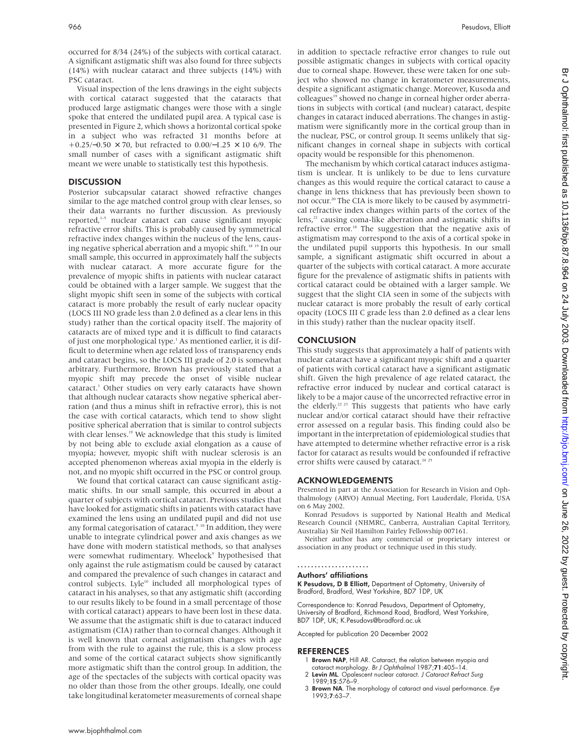occurred for 8/34 (24%) of the subjects with cortical cataract. A significant astigmatic shift was also found for three subjects (14%) with nuclear cataract and three subjects (14%) with PSC cataract.

Visual inspection of the lens drawings in the eight subjects with cortical cataract suggested that the cataracts that produced large astigmatic changes were those with a single spoke that entered the undilated pupil area. A typical case is presented in Figure 2, which shows a horizontal cortical spoke in a subject who was refracted 31 months before at +0.25/−0.50  $\times$  70, but refracted to 0.00/−1.25  $\times$  10 6/9. The small number of cases with a significant astigmatic shift meant we were unable to statistically test this hypothesis.

#### **DISCUSSION**

Posterior subcapsular cataract showed refractive changes similar to the age matched control group with clear lenses, so their data warrants no further discussion. As previously reported,<sup>1-5</sup> nuclear cataract can cause significant myopic refractive error shifts. This is probably caused by symmetrical refractive index changes within the nucleus of the lens, causing negative spherical aberration and a myopic shift.<sup>18 19</sup> In our small sample, this occurred in approximately half the subjects with nuclear cataract. A more accurate figure for the prevalence of myopic shifts in patients with nuclear cataract could be obtained with a larger sample. We suggest that the slight myopic shift seen in some of the subjects with cortical cataract is more probably the result of early nuclear opacity (LOCS III NO grade less than 2.0 defined as a clear lens in this study) rather than the cortical opacity itself. The majority of cataracts are of mixed type and it is difficult to find cataracts of just one morphological type.1 As mentioned earlier, it is difficult to determine when age related loss of transparency ends and cataract begins, so the LOCS III grade of 2.0 is somewhat arbitrary. Furthermore, Brown has previously stated that a myopic shift may precede the onset of visible nuclear cataract.<sup>1</sup> Other studies on very early cataracts have shown that although nuclear cataracts show negative spherical aberration (and thus a minus shift in refractive error), this is not the case with cortical cataracts, which tend to show slight positive spherical aberration that is similar to control subjects with clear lenses.<sup>19</sup> We acknowledge that this study is limited by not being able to exclude axial elongation as a cause of myopia; however, myopic shift with nuclear sclerosis is an accepted phenomenon whereas axial myopia in the elderly is not, and no myopic shift occurred in the PSC or control group.

We found that cortical cataract can cause significant astigmatic shifts. In our small sample, this occurred in about a quarter of subjects with cortical cataract. Previous studies that have looked for astigmatic shifts in patients with cataract have examined the lens using an undilated pupil and did not use any formal categorisation of cataract.<sup>9 10</sup> In addition, they were unable to integrate cylindrical power and axis changes as we have done with modern statistical methods, so that analyses were somewhat rudimentary. Wheelock<sup>9</sup> hypothesised that only against the rule astigmatism could be caused by cataract and compared the prevalence of such changes in cataract and control subjects. Lyle<sup>10</sup> included all morphological types of cataract in his analyses, so that any astigmatic shift (according to our results likely to be found in a small percentage of those with cortical cataract) appears to have been lost in these data. We assume that the astigmatic shift is due to cataract induced astigmatism (CIA) rather than to corneal changes. Although it is well known that corneal astigmatism changes with age from with the rule to against the rule, this is a slow process and some of the cortical cataract subjects show significantly more astigmatic shift than the control group. In addition, the age of the spectacles of the subjects with cortical opacity was no older than those from the other groups. Ideally, one could take longitudinal keratometer measurements of corneal shape

in addition to spectacle refractive error changes to rule out possible astigmatic changes in subjects with cortical opacity due to corneal shape. However, these were taken for one subject who showed no change in keratometer measurements, despite a significant astigmatic change. Moreover, Kusoda and colleagues<sup>19</sup> showed no change in corneal higher order aberrations in subjects with cortical (and nuclear) cataract, despite changes in cataract induced aberrations. The changes in astigmatism were significantly more in the cortical group than in the nuclear, PSC, or control group. It seems unlikely that significant changes in corneal shape in subjects with cortical opacity would be responsible for this phenomenon.

The mechanism by which cortical cataract induces astigmatism is unclear. It is unlikely to be due to lens curvature changes as this would require the cortical cataract to cause a change in lens thickness that has previously been shown to not occur.<sup>20</sup> The CIA is more likely to be caused by asymmetrical refractive index changes within parts of the cortex of the  $lens<sub>i</sub><sup>21</sup>$  causing coma-like aberration and astigmatic shifts in refractive error.<sup>18</sup> The suggestion that the negative axis of astigmatism may correspond to the axis of a cortical spoke in the undilated pupil supports this hypothesis. In our small sample, a significant astigmatic shift occurred in about a quarter of the subjects with cortical cataract. A more accurate figure for the prevalence of astigmatic shifts in patients with cortical cataract could be obtained with a larger sample. We suggest that the slight CIA seen in some of the subjects with nuclear cataract is more probably the result of early cortical opacity (LOCS III C grade less than 2.0 defined as a clear lens in this study) rather than the nuclear opacity itself.

#### **CONCLUSION**

This study suggests that approximately a half of patients with nuclear cataract have a significant myopic shift and a quarter of patients with cortical cataract have a significant astigmatic shift. Given the high prevalence of age related cataract, the refractive error induced by nuclear and cortical cataract is likely to be a major cause of the uncorrected refractive error in the elderly.<sup>22 23</sup> This suggests that patients who have early nuclear and/or cortical cataract should have their refractive error assessed on a regular basis. This finding could also be important in the interpretation of epidemiological studies that have attempted to determine whether refractive error is a risk factor for cataract as results would be confounded if refractive error shifts were caused by cataract.<sup>24 25</sup>

#### ACKNOWLEDGEMENTS

Presented in part at the Association for Research in Vision and Ophthalmology (ARVO) Annual Meeting, Fort Lauderdale, Florida, USA on 6 May 2002.

Konrad Pesudovs is supported by National Health and Medical Research Council (NHMRC, Canberra, Australian Capital Territory, Australia) Sir Neil Hamilton Fairley Fellowship 007161.

Neither author has any commercial or proprietary interest or association in any product or technique used in this study.

#### .....................

#### Authors' affiliations

K Pesudovs, D B Elliott, Department of Optometry, University of Bradford, Bradford, West Yorkshire, BD7 1DP, UK

Correspondence to: Konrad Pesudovs, Department of Optometry, University of Bradford, Richmond Road, Bradford, West Yorkshire, BD7 1DP, UK; K.Pesudovs@bradford.ac.uk

Accepted for publication 20 December 2002

#### REFERENCES

- 1 **Brown NAP**, Hill AR. Cataract, the relation between myopia and cataract morphology. Br J Ophthalmol 1987;71:405–14.
- 2 Levin ML. Opalescent nuclear cataract. J Cataract Refract Surg 1989;15:576–9.
- 3 Brown NA. The morphology of cataract and visual performance. Eye 1993;7:63–7.